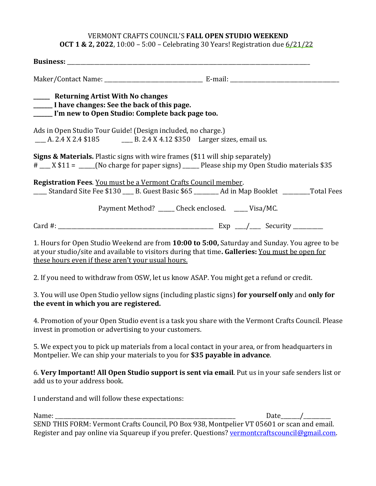## VERMONT CRAFTS COUNCIL'S FALL OPEN STUDIO WEEKEND

**OCT 1 & 2, 2022**, 10:00 – 5:00 – Celebrating 30 Years! Registration due  $6/21/22$ 

| ______ Returning Artist With No changes<br>______ I have changes: See the back of this page.<br>______ I'm new to Open Studio: Complete back page too. |                                                                                                                                                                                                  |  |
|--------------------------------------------------------------------------------------------------------------------------------------------------------|--------------------------------------------------------------------------------------------------------------------------------------------------------------------------------------------------|--|
| Ads in Open Studio Tour Guide! (Design included, no charge.)                                                                                           | ___ A. 2.4 X 2.4 \$185 ____ B. 2.4 X 4.12 \$350 Larger sizes, email us.                                                                                                                          |  |
|                                                                                                                                                        | <b>Signs &amp; Materials.</b> Plastic signs with wire frames (\$11 will ship separately)<br># ___ X \$11 = ____(No charge for paper signs) ____ Please ship my Open Studio materials \$35        |  |
| Registration Fees. You must be a Vermont Crafts Council member.                                                                                        | ____ Standard Site Fee \$130 ___ B. Guest Basic \$65 _______ Ad in Map Booklet ________ Total Fees                                                                                               |  |
|                                                                                                                                                        | Payment Method? _____ Check enclosed. ____ Visa/MC.                                                                                                                                              |  |
|                                                                                                                                                        |                                                                                                                                                                                                  |  |
| these hours even if these aren't your usual hours.                                                                                                     | 1. Hours for Open Studio Weekend are from 10:00 to 5:00, Saturday and Sunday. You agree to be<br>at your studio/site and available to visitors during that time. Galleries: You must be open for |  |
|                                                                                                                                                        | 2. If you need to withdraw from OSW, let us know ASAP. You might get a refund or credit.                                                                                                         |  |
| the event in which you are registered.                                                                                                                 | 3. You will use Open Studio yellow signs (including plastic signs) for yourself only and only for                                                                                                |  |
| invest in promotion or advertising to your customers.                                                                                                  | 4. Promotion of your Open Studio event is a task you share with the Vermont Crafts Council. Please                                                                                               |  |
|                                                                                                                                                        | 5. We expect you to pick up materials from a local contact in your area, or from headquarters in<br>Montpelier. We can ship your materials to you for \$35 payable in advance.                   |  |

6. Very Important! All Open Studio support is sent via email. Put us in your safe senders list or add us to your address book.

I understand and will follow these expectations:

Name: the contract of the contract of the contract of the contract of the contract of the contract of the contract of the contract of the contract of the contract of the contract of the contract of the contract of the cont SEND THIS FORM: Vermont Crafts Council, PO Box 938, Montpelier VT 05601 or scan and email. Register and pay online via Squareup if you prefer. Questions? vermontcraftscouncil@gmail.com.